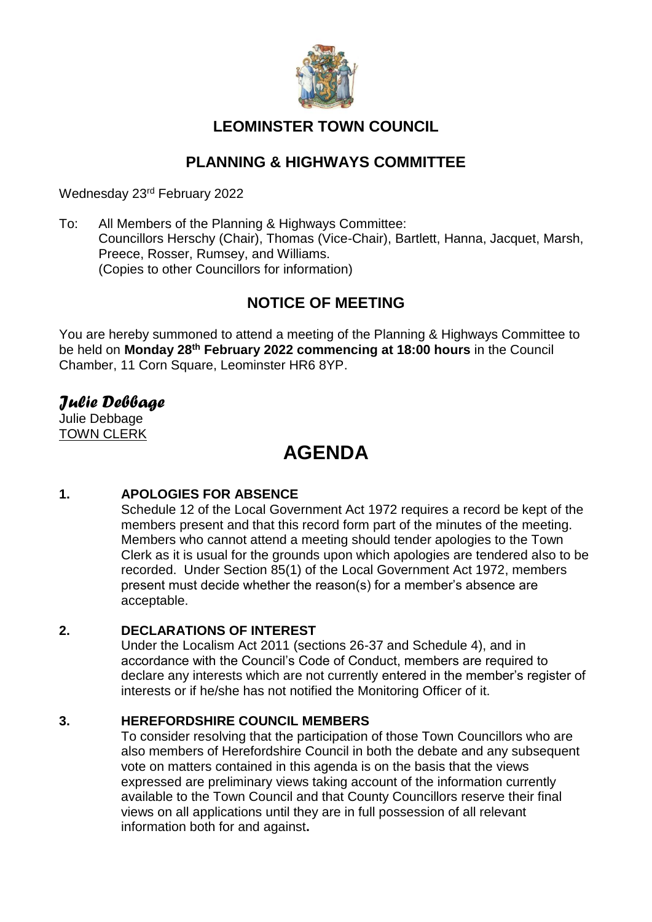

# **LEOMINSTER TOWN COUNCIL**

# **PLANNING & HIGHWAYS COMMITTEE**

Wednesday 23rd February 2022

To: All Members of the Planning & Highways Committee: Councillors Herschy (Chair), Thomas (Vice-Chair), Bartlett, Hanna, Jacquet, Marsh, Preece, Rosser, Rumsey, and Williams. (Copies to other Councillors for information)

# **NOTICE OF MEETING**

You are hereby summoned to attend a meeting of the Planning & Highways Committee to be held on **Monday 28th February 2022 commencing at 18:00 hours** in the Council Chamber, 11 Corn Square, Leominster HR6 8YP.

# *Julie Debbage*

Julie Debbage TOWN CLERK

# **AGENDA**

# **1. APOLOGIES FOR ABSENCE**

Schedule 12 of the Local Government Act 1972 requires a record be kept of the members present and that this record form part of the minutes of the meeting. Members who cannot attend a meeting should tender apologies to the Town Clerk as it is usual for the grounds upon which apologies are tendered also to be recorded. Under Section 85(1) of the Local Government Act 1972, members present must decide whether the reason(s) for a member's absence are acceptable.

# **2. DECLARATIONS OF INTEREST**

Under the Localism Act 2011 (sections 26-37 and Schedule 4), and in accordance with the Council's Code of Conduct, members are required to declare any interests which are not currently entered in the member's register of interests or if he/she has not notified the Monitoring Officer of it.

# **3. HEREFORDSHIRE COUNCIL MEMBERS**

To consider resolving that the participation of those Town Councillors who are also members of Herefordshire Council in both the debate and any subsequent vote on matters contained in this agenda is on the basis that the views expressed are preliminary views taking account of the information currently available to the Town Council and that County Councillors reserve their final views on all applications until they are in full possession of all relevant information both for and against**.**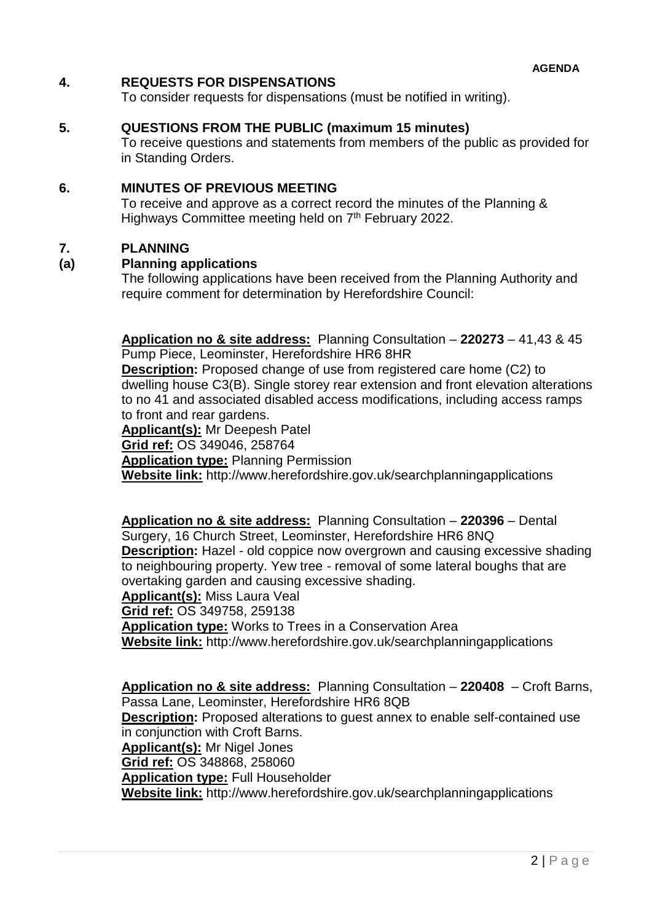### **4. REQUESTS FOR DISPENSATIONS**

To consider requests for dispensations (must be notified in writing).

### **5. QUESTIONS FROM THE PUBLIC (maximum 15 minutes)**

To receive questions and statements from members of the public as provided for in Standing Orders.

### **6. MINUTES OF PREVIOUS MEETING**

To receive and approve as a correct record the minutes of the Planning & Highways Committee meeting held on 7<sup>th</sup> February 2022.

### **7. PLANNING**

### **(a) Planning applications**

The following applications have been received from the Planning Authority and require comment for determination by Herefordshire Council:

**Application no & site address:** Planning Consultation – **220273** – 41,43 & 45 Pump Piece, Leominster, Herefordshire HR6 8HR

**Description:** Proposed change of use from registered care home (C2) to dwelling house C3(B). Single storey rear extension and front elevation alterations to no 41 and associated disabled access modifications, including access ramps to front and rear gardens.

**Applicant(s):** Mr Deepesh Patel **Grid ref:** OS 349046, 258764 **Application type:** Planning Permission

**Website link:** http://www.herefordshire.gov.uk/searchplanningapplications

**Application no & site address:** Planning Consultation – **220396** – Dental Surgery, 16 Church Street, Leominster, Herefordshire HR6 8NQ **Description:** Hazel - old coppice now overgrown and causing excessive shading to neighbouring property. Yew tree - removal of some lateral boughs that are overtaking garden and causing excessive shading.

**Applicant(s):** Miss Laura Veal

**Grid ref:** OS 349758, 259138

**Application type:** Works to Trees in a Conservation Area

**Website link:** http://www.herefordshire.gov.uk/searchplanningapplications

**Application no & site address:** Planning Consultation – **220408** – Croft Barns, Passa Lane, Leominster, Herefordshire HR6 8QB **Description:** Proposed alterations to guest annex to enable self-contained use in conjunction with Croft Barns. **Applicant(s):** Mr Nigel Jones **Grid ref:** OS 348868, 258060 **Application type:** Full Householder **Website link:** http://www.herefordshire.gov.uk/searchplanningapplications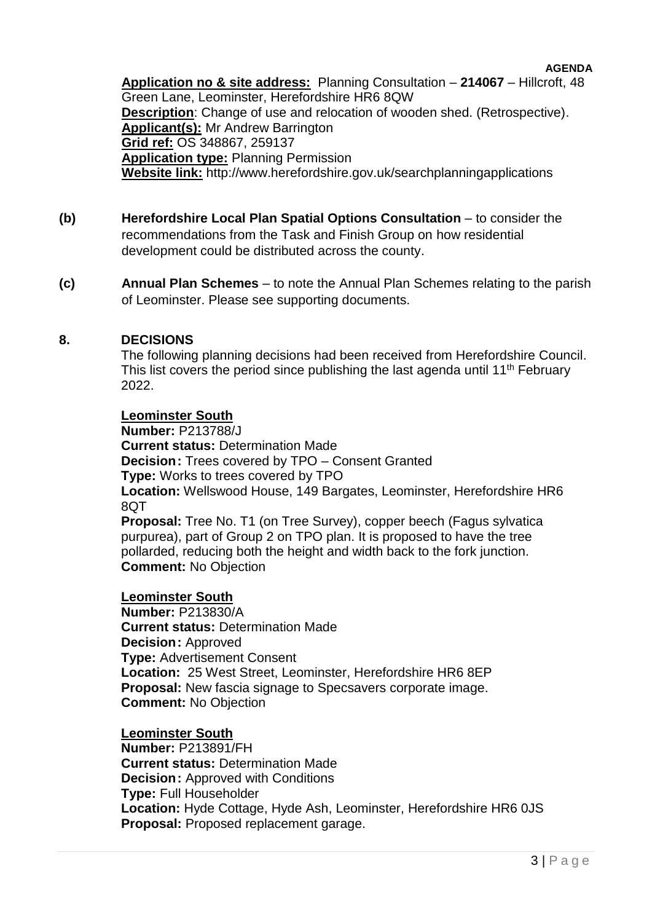#### **AGENDA**

**Application no & site address:** Planning Consultation – **214067** – Hillcroft, 48 Green Lane, Leominster, Herefordshire HR6 8QW **Description**: Change of use and relocation of wooden shed. (Retrospective). **Applicant(s):** Mr Andrew Barrington **Grid ref:** OS 348867, 259137 **Application type:** Planning Permission **Website link:** http://www.herefordshire.gov.uk/searchplanningapplications

- **(b) Herefordshire Local Plan Spatial Options Consultation**  to consider the recommendations from the Task and Finish Group on how residential development could be distributed across the county.
- **(c) Annual Plan Schemes**  to note the Annual Plan Schemes relating to the parish of Leominster. Please see supporting documents.

# **8. DECISIONS**

The following planning decisions had been received from Herefordshire Council. This list covers the period since publishing the last agenda until 11<sup>th</sup> February 2022.

### **Leominster South**

**Number:** P213788/J **Current status:** Determination Made **Decision:** Trees covered by TPO – Consent Granted **Type:** Works to trees covered by TPO **Location:** Wellswood House, 149 Bargates, Leominster, Herefordshire HR6 8QT **Proposal:** Tree No. T1 (on Tree Survey), copper beech (Fagus sylvatica purpurea), part of Group 2 on TPO plan. It is proposed to have the tree

pollarded, reducing both the height and width back to the fork junction. **Comment:** No Objection

### **Leominster South**

**Number:** P213830/A **Current status:** Determination Made **Decision:** Approved **Type:** Advertisement Consent **Location:** 25 West Street, Leominster, Herefordshire HR6 8EP **Proposal:** New fascia signage to Specsavers corporate image. **Comment:** No Objection

**Leominster South Number:** P213891/FH **Current status:** Determination Made **Decision:** Approved with Conditions **Type:** Full Householder **Location:** Hyde Cottage, Hyde Ash, Leominster, Herefordshire HR6 0JS **Proposal:** Proposed replacement garage.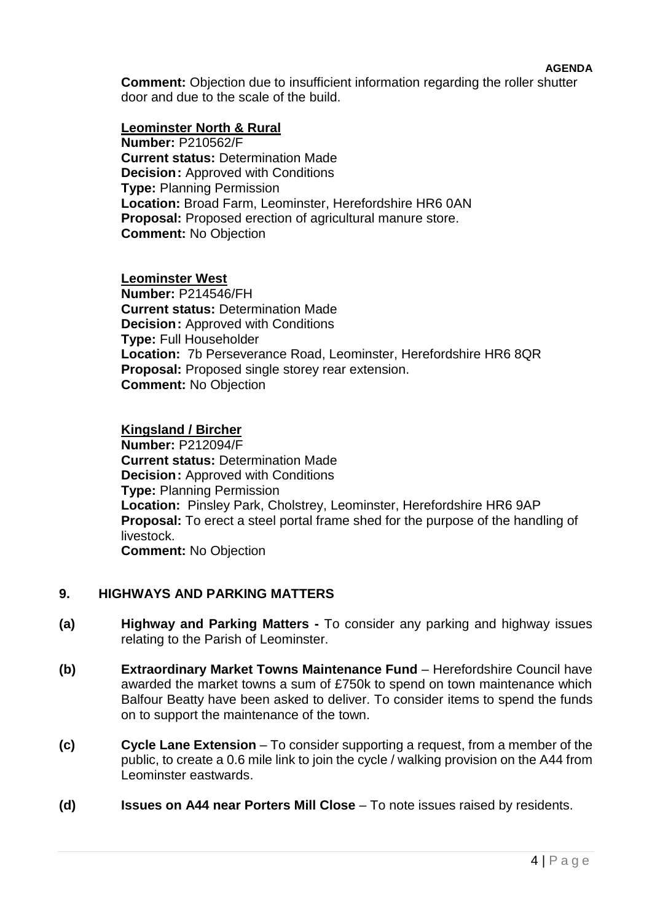**Comment:** Objection due to insufficient information regarding the roller shutter door and due to the scale of the build.

### **Leominster North & Rural**

**Number:** P210562/F **Current status:** Determination Made **Decision:** Approved with Conditions **Type:** Planning Permission **Location:** Broad Farm, Leominster, Herefordshire HR6 0AN **Proposal:** Proposed erection of agricultural manure store. **Comment:** No Objection

### **Leominster West**

**Number:** P214546/FH **Current status:** Determination Made **Decision:** Approved with Conditions **Type:** Full Householder **Location:** 7b Perseverance Road, Leominster, Herefordshire HR6 8QR **Proposal:** Proposed single storey rear extension. **Comment:** No Objection

### **Kingsland / Bircher**

**Number:** P212094/F **Current status:** Determination Made **Decision:** Approved with Conditions **Type:** Planning Permission **Location:** Pinsley Park, Cholstrey, Leominster, Herefordshire HR6 9AP **Proposal:** To erect a steel portal frame shed for the purpose of the handling of livestock.

**Comment:** No Objection

# **9. HIGHWAYS AND PARKING MATTERS**

- **(a) Highway and Parking Matters -** To consider any parking and highway issues relating to the Parish of Leominster.
- **(b) Extraordinary Market Towns Maintenance Fund** Herefordshire Council have awarded the market towns a sum of £750k to spend on town maintenance which Balfour Beatty have been asked to deliver. To consider items to spend the funds on to support the maintenance of the town.
- **(c) Cycle Lane Extension** To consider supporting a request, from a member of the public, to create a 0.6 mile link to join the cycle / walking provision on the A44 from Leominster eastwards.
- **(d) Issues on A44 near Porters Mill Close** To note issues raised by residents.

**AGENDA**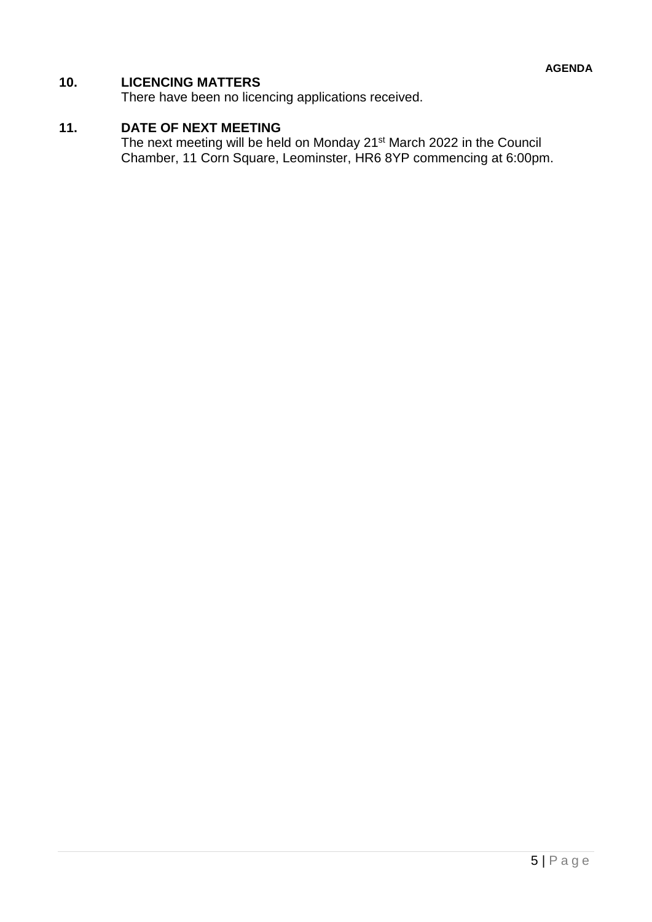# **10. LICENCING MATTERS**

There have been no licencing applications received.

# **11. DATE OF NEXT MEETING**

The next meeting will be held on Monday 21<sup>st</sup> March 2022 in the Council Chamber, 11 Corn Square, Leominster, HR6 8YP commencing at 6:00pm.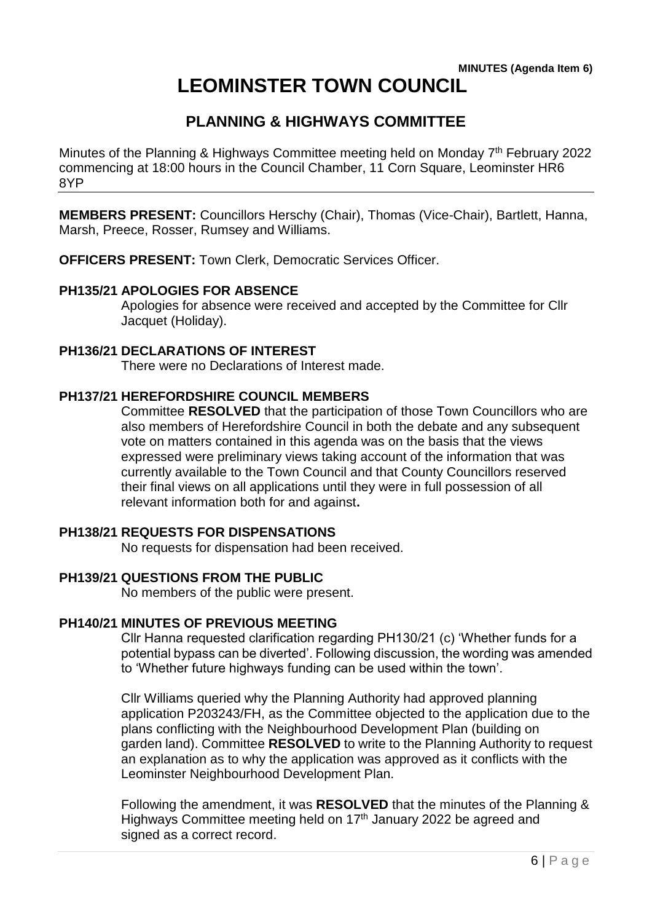# **LEOMINSTER TOWN COUNCIL**

# **PLANNING & HIGHWAYS COMMITTEE**

Minutes of the Planning & Highways Committee meeting held on Monday 7<sup>th</sup> February 2022 commencing at 18:00 hours in the Council Chamber, 11 Corn Square, Leominster HR6 8YP

**MEMBERS PRESENT:** Councillors Herschy (Chair), Thomas (Vice-Chair), Bartlett, Hanna, Marsh, Preece, Rosser, Rumsey and Williams.

**OFFICERS PRESENT:** Town Clerk, Democratic Services Officer.

# **PH135/21 APOLOGIES FOR ABSENCE**

Apologies for absence were received and accepted by the Committee for Cllr Jacquet (Holiday).

# **PH136/21 DECLARATIONS OF INTEREST**

There were no Declarations of Interest made.

# **PH137/21 HEREFORDSHIRE COUNCIL MEMBERS**

Committee **RESOLVED** that the participation of those Town Councillors who are also members of Herefordshire Council in both the debate and any subsequent vote on matters contained in this agenda was on the basis that the views expressed were preliminary views taking account of the information that was currently available to the Town Council and that County Councillors reserved their final views on all applications until they were in full possession of all relevant information both for and against**.**

# **PH138/21 REQUESTS FOR DISPENSATIONS**

No requests for dispensation had been received.

# **PH139/21 QUESTIONS FROM THE PUBLIC**

No members of the public were present.

# **PH140/21 MINUTES OF PREVIOUS MEETING**

Cllr Hanna requested clarification regarding PH130/21 (c) 'Whether funds for a potential bypass can be diverted'. Following discussion, the wording was amended to 'Whether future highways funding can be used within the town'.

Cllr Williams queried why the Planning Authority had approved planning application P203243/FH, as the Committee objected to the application due to the plans conflicting with the Neighbourhood Development Plan (building on garden land). Committee **RESOLVED** to write to the Planning Authority to request an explanation as to why the application was approved as it conflicts with the Leominster Neighbourhood Development Plan.

Following the amendment, it was **RESOLVED** that the minutes of the Planning & Highways Committee meeting held on 17<sup>th</sup> January 2022 be agreed and signed as a correct record.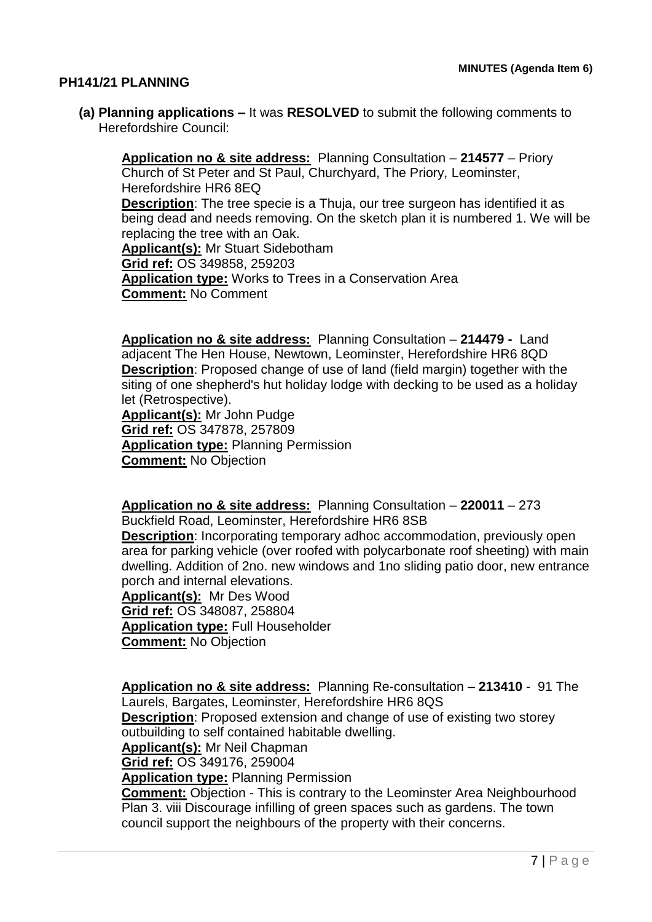# **PH141/21 PLANNING**

**(a) Planning applications –** It was **RESOLVED** to submit the following comments to Herefordshire Council:

**Application no & site address:** Planning Consultation – **214577** – Priory Church of St Peter and St Paul, Churchyard, The Priory, Leominster, Herefordshire HR6 8EQ **Description**: The tree specie is a Thuja, our tree surgeon has identified it as being dead and needs removing. On the sketch plan it is numbered 1. We will be replacing the tree with an Oak. **Applicant(s):** Mr Stuart Sidebotham **Grid ref:** OS 349858, 259203 **Application type:** Works to Trees in a Conservation Area **Comment:** No Comment

**Application no & site address:** Planning Consultation – **214479 -** Land adjacent The Hen House, Newtown, Leominster, Herefordshire HR6 8QD **Description**: Proposed change of use of land (field margin) together with the siting of one shepherd's hut holiday lodge with decking to be used as a holiday let (Retrospective).

**Applicant(s):** Mr John Pudge **Grid ref:** OS 347878, 257809 **Application type:** Planning Permission **Comment:** No Objection

**Application no & site address:** Planning Consultation – **220011** – 273 Buckfield Road, Leominster, Herefordshire HR6 8SB

**Description**: Incorporating temporary adhoc accommodation, previously open area for parking vehicle (over roofed with polycarbonate roof sheeting) with main dwelling. Addition of 2no. new windows and 1no sliding patio door, new entrance porch and internal elevations.

**Applicant(s):** Mr Des Wood **Grid ref:** OS 348087, 258804 **Application type:** Full Householder **Comment:** No Objection

**Application no & site address:** Planning Re-consultation – **213410** - 91 The Laurels, Bargates, Leominster, Herefordshire HR6 8QS **Description**: Proposed extension and change of use of existing two storey outbuilding to self contained habitable dwelling. **Applicant(s):** Mr Neil Chapman **Grid ref:** OS 349176, 259004 **Application type:** Planning Permission **Comment:** Objection - This is contrary to the Leominster Area Neighbourhood Plan 3. viii Discourage infilling of green spaces such as gardens. The town council support the neighbours of the property with their concerns.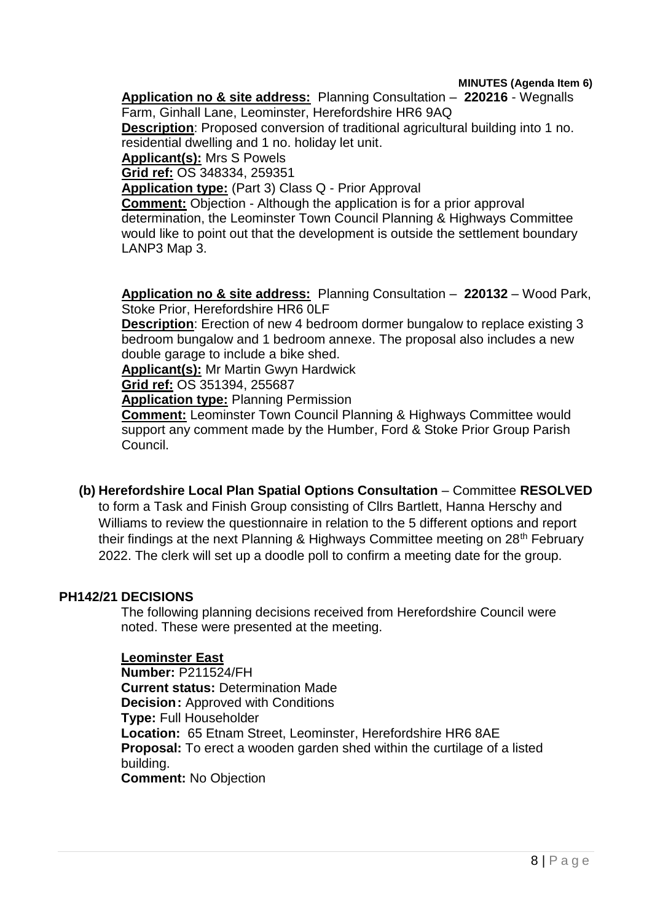**MINUTES (Agenda Item 6)**

**Application no & site address:** Planning Consultation – **220216** - Wegnalls Farm, Ginhall Lane, Leominster, Herefordshire HR6 9AQ

**Description**: Proposed conversion of traditional agricultural building into 1 no. residential dwelling and 1 no. holiday let unit.

**Applicant(s):** Mrs S Powels

**Grid ref:** OS 348334, 259351

**Application type:** (Part 3) Class Q - Prior Approval

**Comment:** Objection - Although the application is for a prior approval determination, the Leominster Town Council Planning & Highways Committee would like to point out that the development is outside the settlement boundary LANP3 Map 3.

**Application no & site address:** Planning Consultation – **220132** – Wood Park, Stoke Prior, Herefordshire HR6 0LF

**Description**: Erection of new 4 bedroom dormer bungalow to replace existing 3 bedroom bungalow and 1 bedroom annexe. The proposal also includes a new double garage to include a bike shed.

**Applicant(s):** Mr Martin Gwyn Hardwick

**Grid ref:** OS 351394, 255687

**Application type:** Planning Permission

**Comment:** Leominster Town Council Planning & Highways Committee would support any comment made by the Humber, Ford & Stoke Prior Group Parish Council.

# **(b) Herefordshire Local Plan Spatial Options Consultation** – Committee **RESOLVED**

to form a Task and Finish Group consisting of Cllrs Bartlett, Hanna Herschy and Williams to review the questionnaire in relation to the 5 different options and report their findings at the next Planning & Highways Committee meeting on 28<sup>th</sup> February 2022. The clerk will set up a doodle poll to confirm a meeting date for the group.

# **PH142/21 DECISIONS**

The following planning decisions received from Herefordshire Council were noted. These were presented at the meeting.

### **Leominster East**

**Number:** P211524/FH **Current status:** Determination Made **Decision: Approved with Conditions Type:** Full Householder **Location:** 65 Etnam Street, Leominster, Herefordshire HR6 8AE **Proposal:** To erect a wooden garden shed within the curtilage of a listed building. **Comment:** No Objection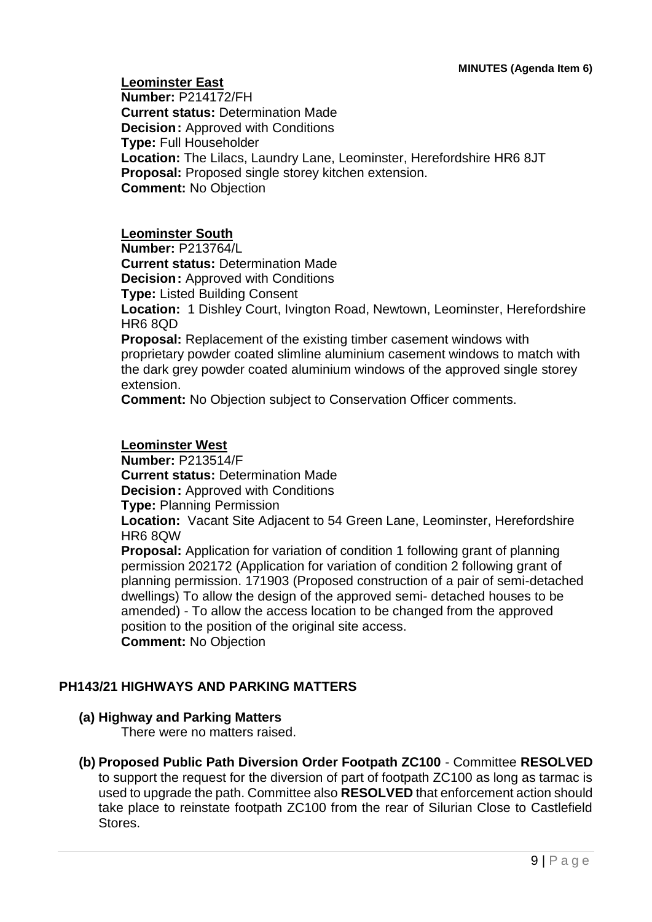**Leominster East Number:** P214172/FH **Current status:** Determination Made **Decision:** Approved with Conditions **Type:** Full Householder **Location:** The Lilacs, Laundry Lane, Leominster, Herefordshire HR6 8JT **Proposal:** Proposed single storey kitchen extension. **Comment:** No Objection

# **Leominster South**

**Number:** P213764/L

**Current status:** Determination Made **Decision: Approved with Conditions** 

**Type:** Listed Building Consent

**Location:** 1 Dishley Court, Ivington Road, Newtown, Leominster, Herefordshire HR6 8QD

**Proposal:** Replacement of the existing timber casement windows with proprietary powder coated slimline aluminium casement windows to match with the dark grey powder coated aluminium windows of the approved single storey extension.

**Comment:** No Objection subject to Conservation Officer comments.

# **Leominster West**

**Number:** P213514/F **Current status:** Determination Made **Decision:** Approved with Conditions **Type:** Planning Permission

**Location:** Vacant Site Adjacent to 54 Green Lane, Leominster, Herefordshire HR6 8QW

**Proposal:** Application for variation of condition 1 following grant of planning permission 202172 (Application for variation of condition 2 following grant of planning permission. 171903 (Proposed construction of a pair of semi-detached dwellings) To allow the design of the approved semi- detached houses to be amended) - To allow the access location to be changed from the approved position to the position of the original site access. **Comment:** No Objection

# **PH143/21 HIGHWAYS AND PARKING MATTERS**

# **(a) Highway and Parking Matters**

There were no matters raised.

# **(b) Proposed Public Path Diversion Order Footpath ZC100** - Committee **RESOLVED**

to support the request for the diversion of part of footpath ZC100 as long as tarmac is used to upgrade the path. Committee also **RESOLVED** that enforcement action should take place to reinstate footpath ZC100 from the rear of Silurian Close to Castlefield Stores.